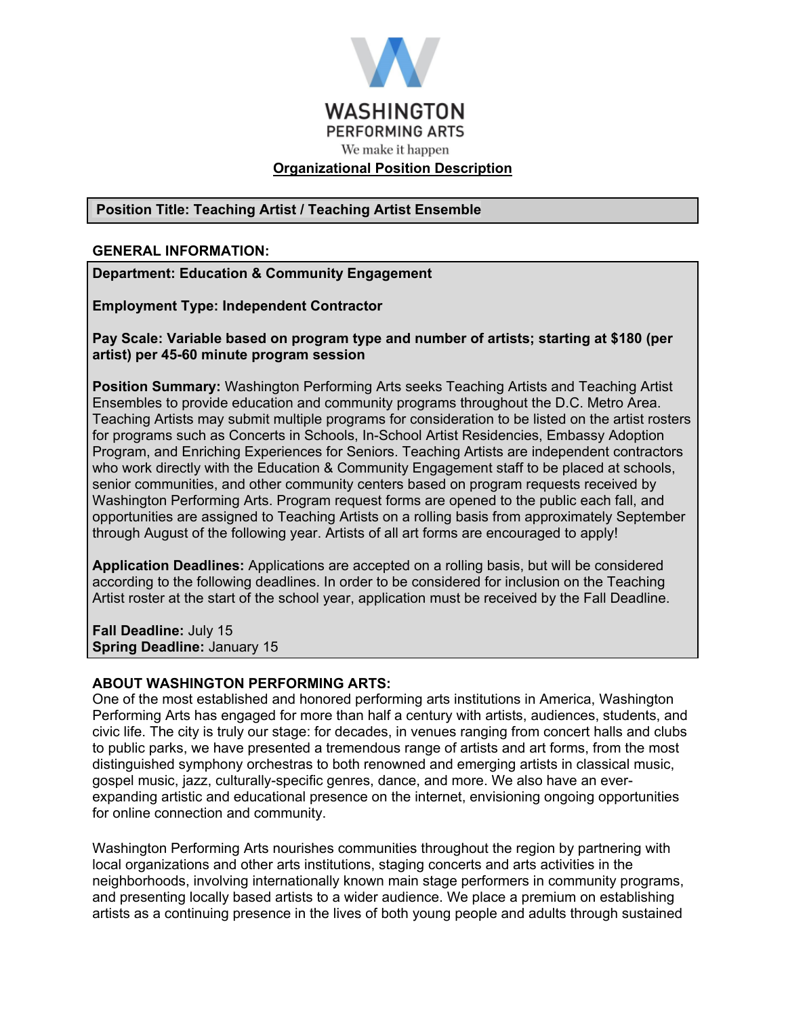

### **Position Title: Teaching Artist / Teaching Artist Ensemble**

#### **GENERAL INFORMATION:**

**Department: Education & Community Engagement**

**Employment Type: Independent Contractor**

**Pay Scale: Variable based on program type and number of artists; starting at \$180 (per artist) per 45-60 minute program session**

**Position Summary:** Washington Performing Arts seeks Teaching Artists and Teaching Artist Ensembles to provide education and community programs throughout the D.C. Metro Area. Teaching Artists may submit multiple programs for consideration to be listed on the artist rosters for programs such as Concerts in Schools, In-School Artist Residencies, Embassy Adoption Program, and Enriching Experiences for Seniors. Teaching Artists are independent contractors who work directly with the Education & Community Engagement staff to be placed at schools, senior communities, and other community centers based on program requests received by Washington Performing Arts. Program request forms are opened to the public each fall, and opportunities are assigned to Teaching Artists on a rolling basis from approximately September through August of the following year. Artists of all art forms are encouraged to apply!

**Application Deadlines:** Applications are accepted on a rolling basis, but will be considered according to the following deadlines. In order to be considered for inclusion on the Teaching Artist roster at the start of the school year, application must be received by the Fall Deadline.

**Fall Deadline:** July 15 **Spring Deadline: January 15** 

#### **ABOUT WASHINGTON PERFORMING ARTS:**

One of the most established and honored performing arts institutions in America, Washington Performing Arts has engaged for more than half a century with artists, audiences, students, and civic life. The city is truly our stage: for decades, in venues ranging from concert halls and clubs to public parks, we have presented a tremendous range of artists and art forms, from the most distinguished symphony orchestras to both renowned and emerging artists in classical music, gospel music, jazz, culturally-specific genres, dance, and more. We also have an everexpanding artistic and educational presence on the internet, envisioning ongoing opportunities for online connection and community.

Washington Performing Arts nourishes communities throughout the region by partnering with local organizations and other arts institutions, staging concerts and arts activities in the neighborhoods, involving internationally known main stage performers in community programs, and presenting locally based artists to a wider audience. We place a premium on establishing artists as a continuing presence in the lives of both young people and adults through sustained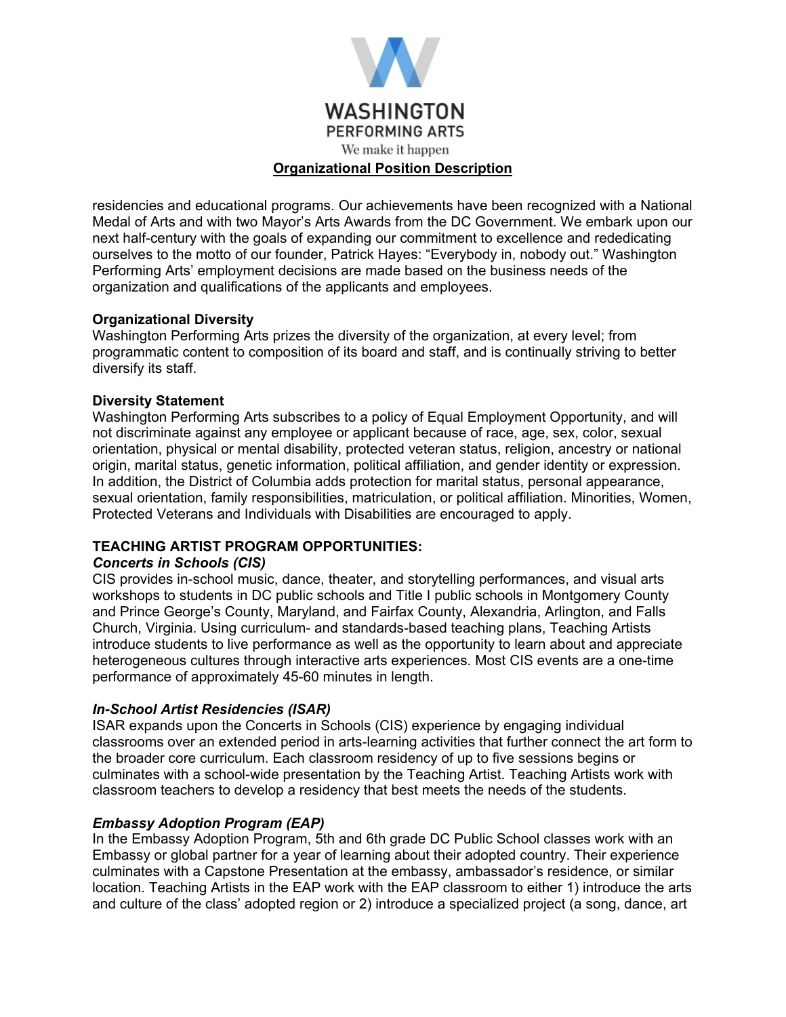

residencies and educational programs. Our achievements have been recognized with a National Medal of Arts and with two Mayor's Arts Awards from the DC Government. We embark upon our next half-century with the goals of expanding our commitment to excellence and rededicating ourselves to the motto of our founder, Patrick Hayes: "Everybody in, nobody out." Washington Performing Arts' employment decisions are made based on the business needs of the organization and qualifications of the applicants and employees.

### **Organizational Diversity**

Washington Performing Arts prizes the diversity of the organization, at every level; from programmatic content to composition of its board and staff, and is continually striving to better diversify its staff.

### **Diversity Statement**

Washington Performing Arts subscribes to a policy of Equal Employment Opportunity, and will not discriminate against any employee or applicant because of race, age, sex, color, sexual orientation, physical or mental disability, protected veteran status, religion, ancestry or national origin, marital status, genetic information, political affiliation, and gender identity or expression. In addition, the District of Columbia adds protection for marital status, personal appearance, sexual orientation, family responsibilities, matriculation, or political affiliation. Minorities, Women, Protected Veterans and Individuals with Disabilities are encouraged to apply.

### **TEACHING ARTIST PROGRAM OPPORTUNITIES:**

### *Concerts in Schools (CIS)*

CIS provides in-school music, dance, theater, and storytelling performances, and visual arts workshops to students in DC public schools and Title I public schools in Montgomery County and Prince George's County, Maryland, and Fairfax County, Alexandria, Arlington, and Falls Church, Virginia. Using curriculum- and standards-based teaching plans, Teaching Artists introduce students to live performance as well as the opportunity to learn about and appreciate heterogeneous cultures through interactive arts experiences. Most CIS events are a one-time performance of approximately 45-60 minutes in length.

### *In-School Artist Residencies (ISAR)*

ISAR expands upon the Concerts in Schools (CIS) experience by engaging individual classrooms over an extended period in arts-learning activities that further connect the art form to the broader core curriculum. Each classroom residency of up to five sessions begins or culminates with a school-wide presentation by the Teaching Artist. Teaching Artists work with classroom teachers to develop a residency that best meets the needs of the students.

### *Embassy Adoption Program (EAP)*

In the Embassy Adoption Program, 5th and 6th grade DC Public School classes work with an Embassy or global partner for a year of learning about their adopted country. Their experience culminates with a Capstone Presentation at the embassy, ambassador's residence, or similar location. Teaching Artists in the EAP work with the EAP classroom to either 1) introduce the arts and culture of the class' adopted region or 2) introduce a specialized project (a song, dance, art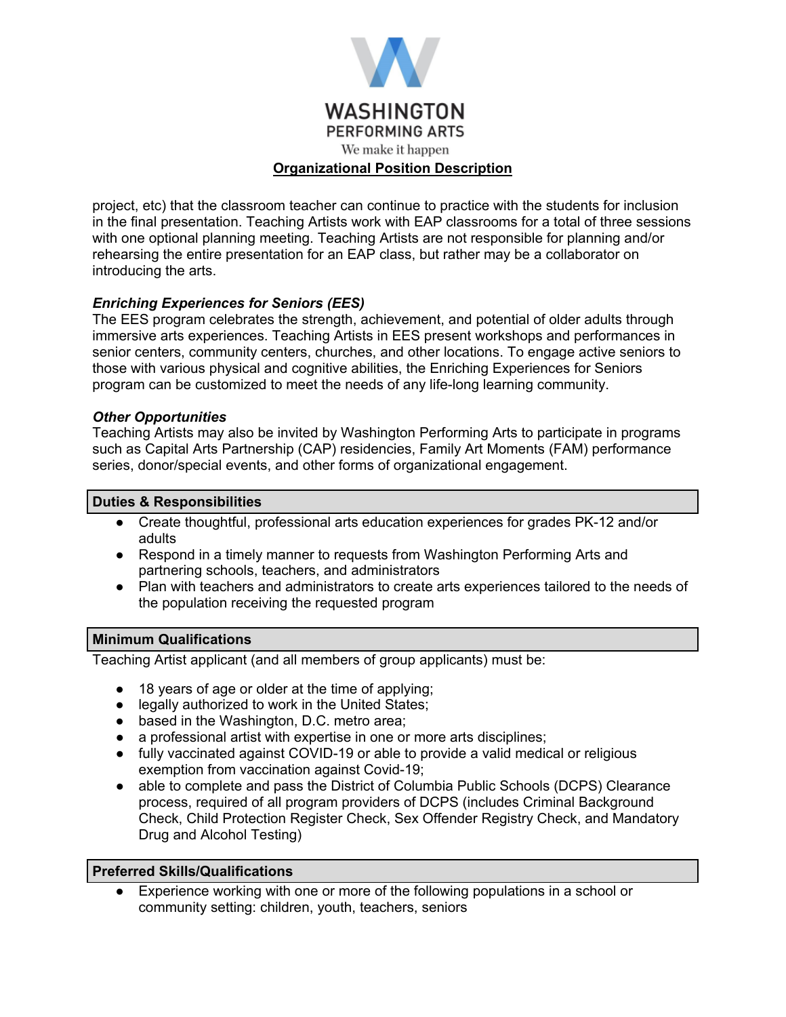

project, etc) that the classroom teacher can continue to practice with the students for inclusion in the final presentation. Teaching Artists work with EAP classrooms for a total of three sessions with one optional planning meeting. Teaching Artists are not responsible for planning and/or rehearsing the entire presentation for an EAP class, but rather may be a collaborator on introducing the arts.

# *Enriching Experiences for Seniors (EES)*

The EES program celebrates the strength, achievement, and potential of older adults through immersive arts experiences. Teaching Artists in EES present workshops and performances in senior centers, community centers, churches, and other locations. To engage active seniors to those with various physical and cognitive abilities, the Enriching Experiences for Seniors program can be customized to meet the needs of any life-long learning community.

### *Other Opportunities*

Teaching Artists may also be invited by Washington Performing Arts to participate in programs such as Capital Arts Partnership (CAP) residencies, Family Art Moments (FAM) performance series, donor/special events, and other forms of organizational engagement.

### **Duties & Responsibilities**

- Create thoughtful, professional arts education experiences for grades PK-12 and/or adults
- Respond in a timely manner to requests from Washington Performing Arts and partnering schools, teachers, and administrators
- Plan with teachers and administrators to create arts experiences tailored to the needs of the population receiving the requested program

### **Minimum Qualifications**

Teaching Artist applicant (and all members of group applicants) must be:

- 18 years of age or older at the time of applying;
- legally authorized to work in the United States;
- based in the Washington, D.C. metro area;
- a professional artist with expertise in one or more arts disciplines;
- fully vaccinated against COVID-19 or able to provide a valid medical or religious exemption from vaccination against Covid-19;
- able to complete and pass the District of Columbia Public Schools (DCPS) Clearance process, required of all program providers of DCPS (includes Criminal Background Check, Child Protection Register Check, Sex Offender Registry Check, and Mandatory Drug and Alcohol Testing)

### **Preferred Skills/Qualifications**

Experience working with one or more of the following populations in a school or community setting: children, youth, teachers, seniors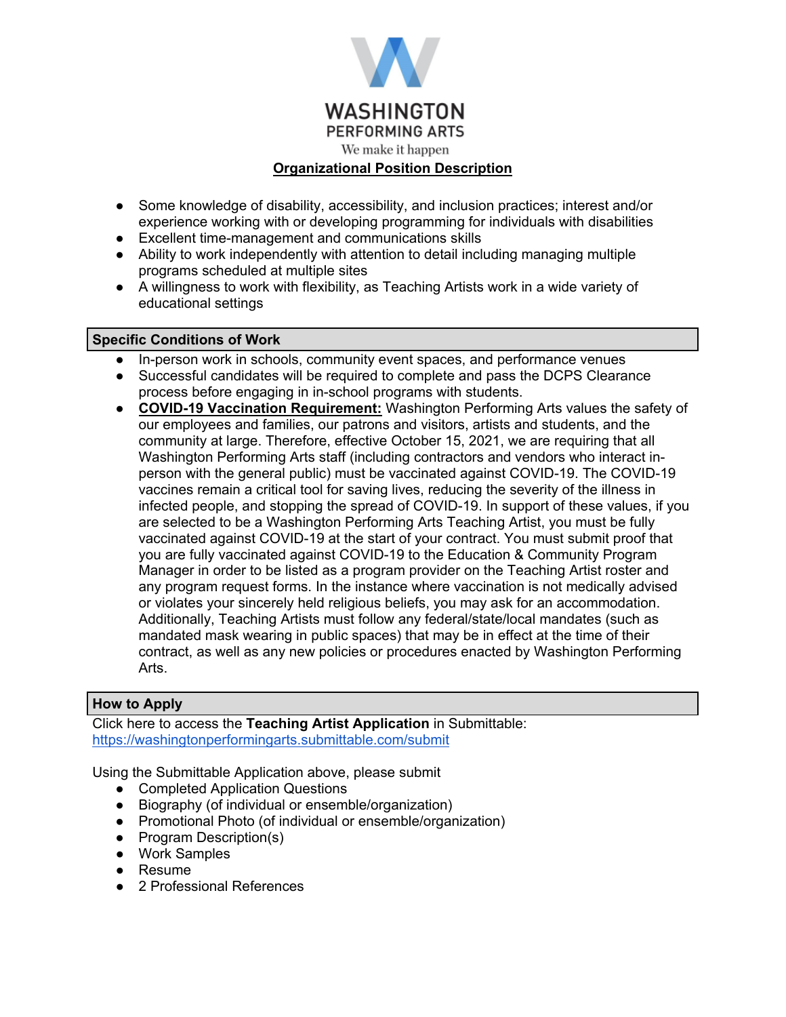

- Some knowledge of disability, accessibility, and inclusion practices; interest and/or experience working with or developing programming for individuals with disabilities
- Excellent time-management and communications skills
- Ability to work independently with attention to detail including managing multiple programs scheduled at multiple sites
- A willingness to work with flexibility, as Teaching Artists work in a wide variety of educational settings

# **Specific Conditions of Work**

- In-person work in schools, community event spaces, and performance venues
- Successful candidates will be required to complete and pass the DCPS Clearance process before engaging in in-school programs with students.
- **COVID-19 Vaccination Requirement:** Washington Performing Arts values the safety of our employees and families, our patrons and visitors, artists and students, and the community at large. Therefore, effective October 15, 2021, we are requiring that all Washington Performing Arts staff (including contractors and vendors who interact inperson with the general public) must be vaccinated against COVID-19. The COVID-19 vaccines remain a critical tool for saving lives, reducing the severity of the illness in infected people, and stopping the spread of COVID-19. In support of these values, if you are selected to be a Washington Performing Arts Teaching Artist, you must be fully vaccinated against COVID-19 at the start of your contract. You must submit proof that you are fully vaccinated against COVID-19 to the Education & Community Program Manager in order to be listed as a program provider on the Teaching Artist roster and any program request forms. In the instance where vaccination is not medically advised or violates your sincerely held religious beliefs, you may ask for an accommodation. Additionally, Teaching Artists must follow any federal/state/local mandates (such as mandated mask wearing in public spaces) that may be in effect at the time of their contract, as well as any new policies or procedures enacted by Washington Performing Arts.

# **How to Apply**

Click here to access the **Teaching Artist Application** in Submittable: <https://washingtonperformingarts.submittable.com/submit>

Using the Submittable Application above, please submit

- Completed Application Questions
- Biography (of individual or ensemble/organization)
- Promotional Photo (of individual or ensemble/organization)
- Program Description(s)
- Work Samples
- Resume
- 2 Professional References